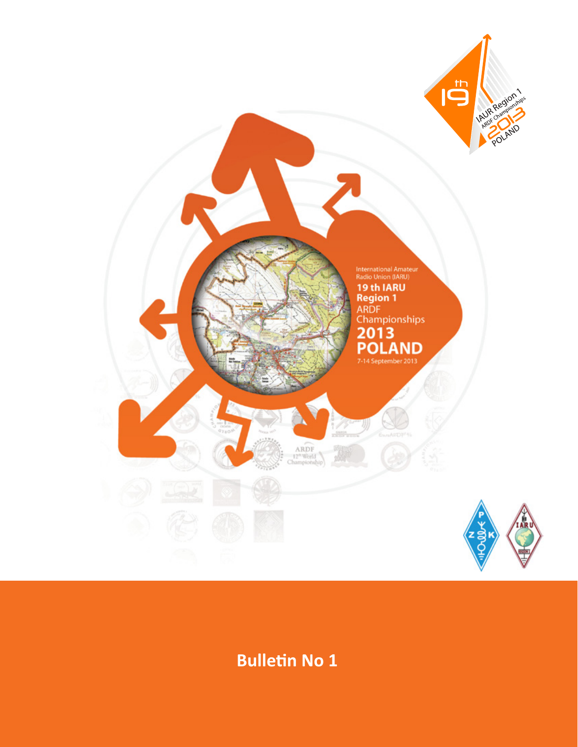

**Bulletin No 1**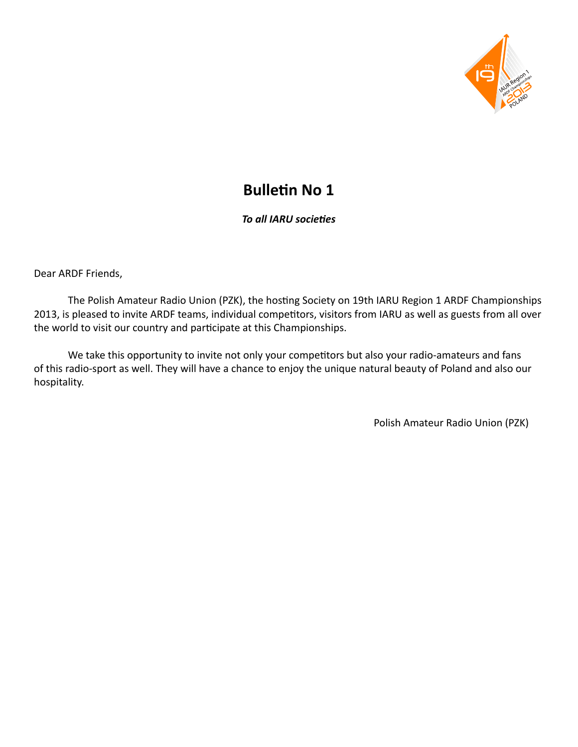

# **Bulletin No 1**

*To all IARU societies*

Dear ARDF Friends,

 The Polish Amateur Radio Union (PZK), the hosting Society on 19th IARU Region 1 ARDF Championships 2013, is pleased to invite ARDF teams, individual competitors, visitors from IARU as well as guests from all over the world to visit our country and participate at this Championships.

 We take this opportunity to invite not only your competitors but also your radio-amateurs and fans of this radio-sport as well. They will have a chance to enjoy the unique natural beauty of Poland and also our hospitality.

Polish Amateur Radio Union (PZK)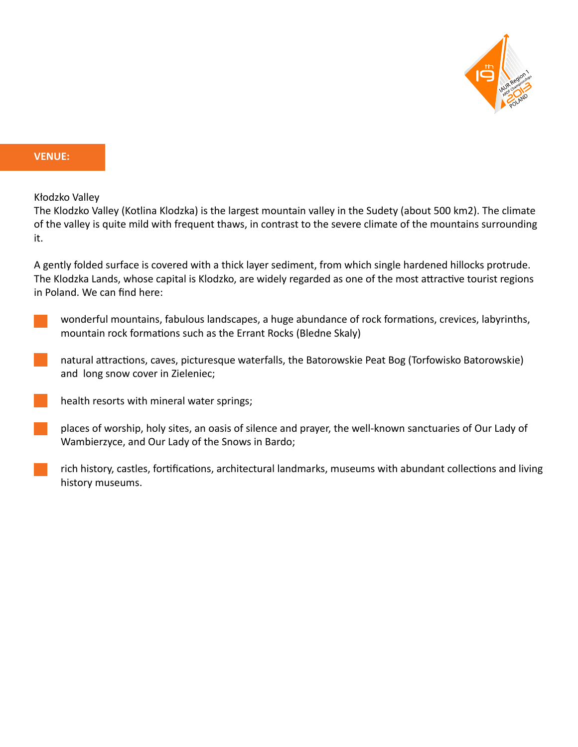

## **VENUE:**

Kłodzko Valley

The Klodzko Valley (Kotlina Klodzka) is the largest mountain valley in the Sudety (about 500 km2). The climate of the valley is quite mild with frequent thaws, in contrast to the severe climate of the mountains surrounding it.

A gently folded surface is covered with a thick layer sediment, from which single hardened hillocks protrude. The Klodzka Lands, whose capital is Klodzko, are widely regarded as one of the most attractive tourist regions in Poland. We can find here:



natural attractions, caves, picturesque waterfalls, the Batorowskie Peat Bog (Torfowisko Batorowskie) and long snow cover in Zieleniec;

- health resorts with mineral water springs;
- places of worship, holy sites, an oasis of silence and prayer, the well-known sanctuaries of Our Lady of Wambierzyce, and Our Lady of the Snows in Bardo;
- rich history, castles, fortifications, architectural landmarks, museums with abundant collections and living history museums.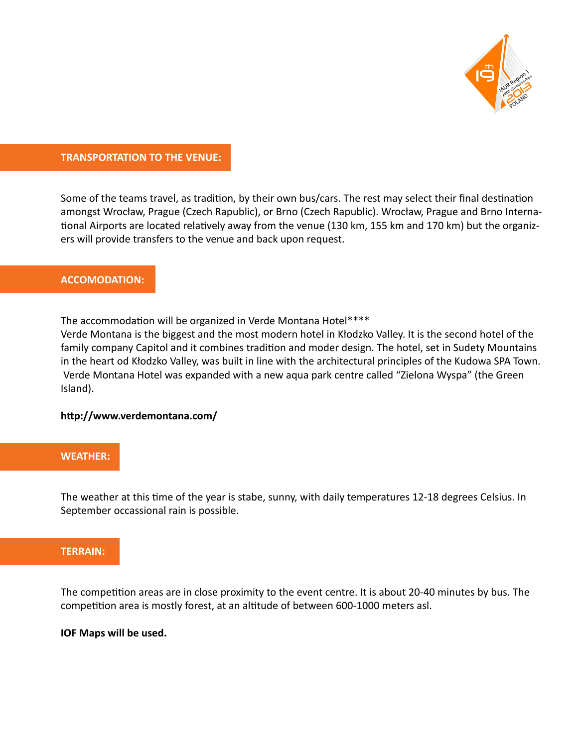

### **TRANSPORTATION TO THE VENUE:**

Some of the teams travel, as tradition, by their own bus/cars. The rest may select their final destination amongst Wrocław, Prague (Czech Rapublic), or Brno (Czech Rapublic). Wrocław, Prague and Brno International Airports are located relatively away from the venue (130 km, 155 km and 170 km) but the organizers will provide transfers to the venue and back upon request.

## **ACCOMODATION:**

The accommodation will be organized in Verde Montana Hotel\*\*\*\*

Verde Montana is the biggest and the most modern hotel in Kłodzko Valley. It is the second hotel of the family company Capitol and it combines tradition and moder design. The hotel, set in Sudety Mountains in the heart od Kłodzko Valley, was built in line with the architectural principles of the Kudowa SPA Town. Verde Montana Hotel was expanded with a new aqua park centre called "Zielona Wyspa" (the Green Island).

#### **[http://www.verdemontana.com/](http://www.verdemontana.com)**

#### **WEATHER:**

The weather at this time of the year is stabe, sunny, with daily temperatures 12-18 degrees Celsius. In September occassional rain is possible.

#### **TERRAIN:**

The competition areas are in close proximity to the event centre. It is about 20-40 minutes by bus. The competition area is mostly forest, at an altitude of between 600-1000 meters asl.

#### **IOF Maps will be used.**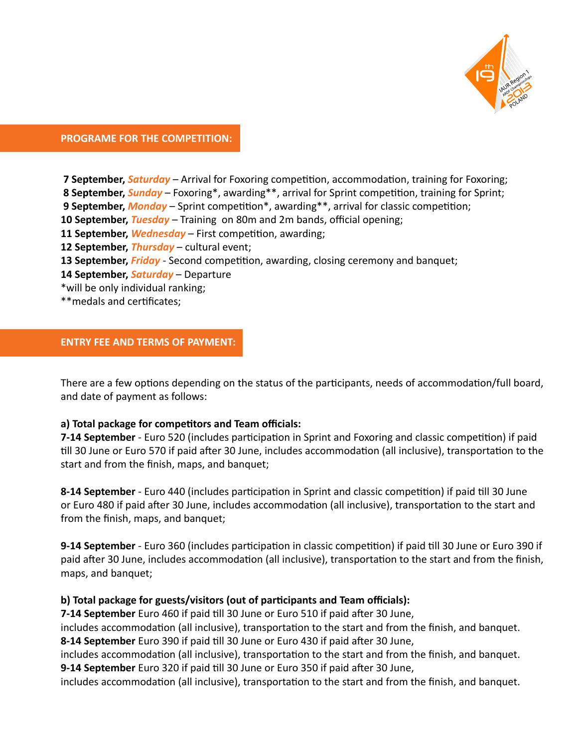

## **PROGRAME FOR THE COMPETITION:**

**7 September,** *Saturday* – Arrival for Foxoring competition, accommodation, training for Foxoring;  **8 September,** *Sunday* – Foxoring\*, awarding\*\*, arrival for Sprint competition, training for Sprint; **9 September,** *Monday* – Sprint competition\*, awarding\*\*, arrival for classic competition; **10 September,** *Tuesday* – Training on 80m and 2m bands, official opening; **11 September,** *Wednesday* – First competition, awarding; **12 September,** *Thursday* – cultural event; **13 September,** *Friday* - Second competition, awarding, closing ceremony and banquet; **14 September,** *Saturday* – Departure \*will be only individual ranking; \*\*medals and certificates;

## **ENTRY FEE AND TERMS OF PAYMENT:**

There are a few options depending on the status of the participants, needs of accommodation/full board, and date of payment as follows:

#### **a) Total package for competitors and Team officials:**

**7-14 September** - Euro 520 (includes participation in Sprint and Foxoring and classic competition) if paid till 30 June or Euro 570 if paid after 30 June, includes accommodation (all inclusive), transportation to the start and from the finish, maps, and banquet;

**8-14 September** - Euro 440 (includes participation in Sprint and classic competition) if paid till 30 June or Euro 480 if paid after 30 June, includes accommodation (all inclusive), transportation to the start and from the finish, maps, and banquet;

**9-14 September** - Euro 360 (includes participation in classic competition) if paid till 30 June or Euro 390 if paid after 30 June, includes accommodation (all inclusive), transportation to the start and from the finish, maps, and banquet;

## **b) Total package for guests/visitors (out of participants and Team officials):**

**7-14 September** Euro 460 if paid till 30 June or Euro 510 if paid after 30 June,

includes accommodation (all inclusive), transportation to the start and from the finish, and banquet. **8-14 September** Euro 390 if paid till 30 June or Euro 430 if paid after 30 June,

includes accommodation (all inclusive), transportation to the start and from the finish, and banquet. **9-14 September** Euro 320 if paid till 30 June or Euro 350 if paid after 30 June,

includes accommodation (all inclusive), transportation to the start and from the finish, and banquet.